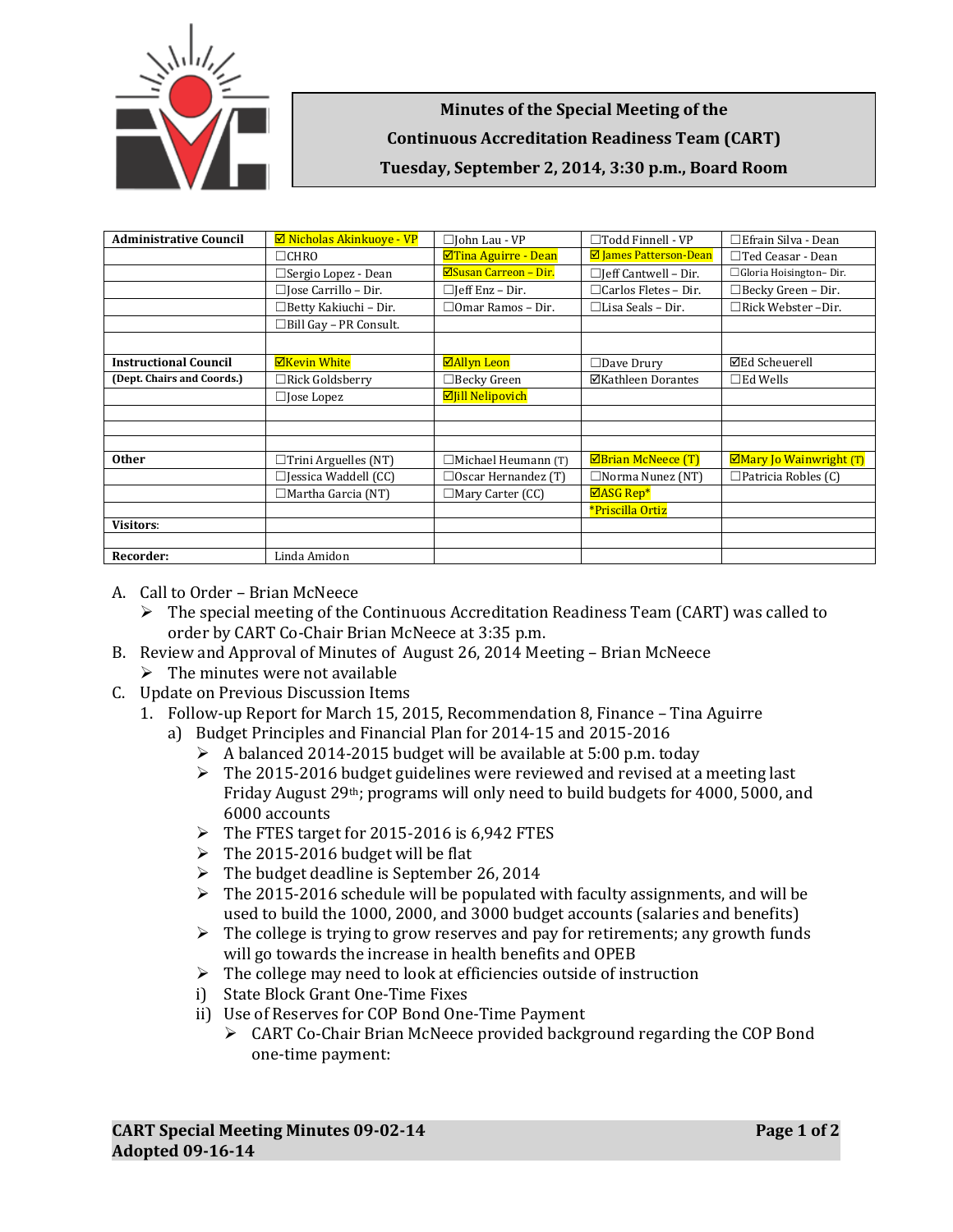

## **Minutes of the Special Meeting of the Continuous Accreditation Readiness Team (CART) Tuesday, September 2, 2014, 3:30 p.m., Board Room**

| <b>Administrative Council</b> | $\boxtimes$ Nicholas Akinkuove - VP | □John Lau - VP             | $\Box$ Todd Finnell - VP      | ∃Efrain Silva - Dean       |
|-------------------------------|-------------------------------------|----------------------------|-------------------------------|----------------------------|
|                               | $\Box$ CHRO                         | ⊠Tina Aguirre - Dean       | <b>Ø James Patterson-Dean</b> | $\Box$ Ted Ceasar - Dean   |
|                               | $\Box$ Sergio Lopez - Dean          | ⊠Susan Carreon - Dir.      | $\Box$ Jeff Cantwell - Dir.   | □ Gloria Hoisington-Dir.   |
|                               | $\Box$ Jose Carrillo – Dir.         | $\Box$ [eff Enz – Dir.     | $\Box$ Carlos Fletes – Dir.   | $\Box$ Becky Green – Dir.  |
|                               | $\Box$ Betty Kakiuchi – Dir.        | $\Box$ Omar Ramos – Dir.   | $\Box$ Lisa Seals – Dir.      | $\Box$ Rick Webster -Dir.  |
|                               | ∃Bill Gay – PR Consult.             |                            |                               |                            |
|                               |                                     |                            |                               |                            |
| <b>Instructional Council</b>  | <b>ØKevin White</b>                 | <b>⊠Allyn Leon</b>         | $\Box$ Dave Drury             | <b>⊠Ed Scheuerell</b>      |
| (Dept. Chairs and Coords.)    | $\Box$ Rick Goldsberry              | $\Box$ Becky Green         | ⊠Kathleen Dorantes            | $\square$ Ed Wells         |
|                               | $\Box$ Jose Lopez                   | <b>Ø</b> Jill Nelipovich   |                               |                            |
|                               |                                     |                            |                               |                            |
|                               |                                     |                            |                               |                            |
|                               |                                     |                            |                               |                            |
| <b>Other</b>                  | $\Box$ Trini Arguelles (NT)         | $\Box$ Michael Heumann (T) | <b>ØBrian McNeece (T)</b>     | ⊠Mary Jo Wainwright (T)    |
|                               | $\Box$ Jessica Waddell (CC)         | $\Box$ Oscar Hernandez (T) | $\Box$ Norma Nunez (NT)       | $\Box$ Patricia Robles (C) |
|                               | $\Box$ Martha Garcia (NT)           | $\Box$ Mary Carter (CC)    | $\Box$ ASG Rep*               |                            |
|                               |                                     |                            | *Priscilla Ortiz              |                            |
| <b>Visitors:</b>              |                                     |                            |                               |                            |
|                               |                                     |                            |                               |                            |
| Recorder:                     | Linda Amidon                        |                            |                               |                            |

- A. Call to Order Brian McNeece
	- $\triangleright$  The special meeting of the Continuous Accreditation Readiness Team (CART) was called to order by CART Co-Chair Brian McNeece at 3:35 p.m.
- B. Review and Approval of Minutes of August 26, 2014 Meeting Brian McNeece
	- $\triangleright$  The minutes were not available
- C. Update on Previous Discussion Items
	- 1. Follow-up Report for March 15, 2015, Recommendation 8, Finance Tina Aguirre
		- a) Budget Principles and Financial Plan for 2014-15 and 2015-2016
			- $\triangleright$  A balanced 2014-2015 budget will be available at 5:00 p.m. today
			- $\triangleright$  The 2015-2016 budget guidelines were reviewed and revised at a meeting last Friday August 29th; programs will only need to build budgets for 4000, 5000, and 6000 accounts
			- $\triangleright$  The FTES target for 2015-2016 is 6,942 FTES
			- $\triangleright$  The 2015-2016 budget will be flat
			- $\triangleright$  The budget deadline is September 26, 2014
			- $\triangleright$  The 2015-2016 schedule will be populated with faculty assignments, and will be used to build the 1000, 2000, and 3000 budget accounts (salaries and benefits)
			- $\triangleright$  The college is trying to grow reserves and pay for retirements; any growth funds will go towards the increase in health benefits and OPEB
			- $\triangleright$  The college may need to look at efficiencies outside of instruction
			- i) State Block Grant One-Time Fixes
			- ii) Use of Reserves for COP Bond One-Time Payment
				- $\triangleright$  CART Co-Chair Brian McNeece provided background regarding the COP Bond one-time payment: